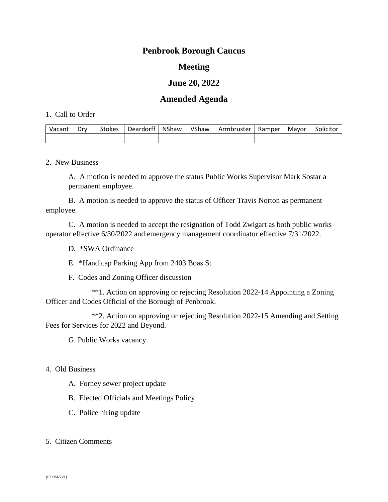# **Penbrook Borough Caucus**

## **Meeting**

## **June 20, 2022**

## **Amended Agenda**

#### 1. Call to Order

| Vacant | Drv | <b>Stokes</b> | <b>Deardorff</b> | NShaw | VShaw | Armbruster | Ramper | Mavor | Solicitor |
|--------|-----|---------------|------------------|-------|-------|------------|--------|-------|-----------|
|        |     |               |                  |       |       |            |        |       |           |

2. New Business

A. A motion is needed to approve the status Public Works Supervisor Mark Sostar a permanent employee.

B. A motion is needed to approve the status of Officer Travis Norton as permanent employee.

C. A motion is needed to accept the resignation of Todd Zwigart as both public works operator effective 6/30/2022 and emergency management coordinator effective 7/31/2022.

- D. \*SWA Ordinance
- E. \*Handicap Parking App from 2403 Boas St
- F. Codes and Zoning Officer discussion

\*\*1. Action on approving or rejecting Resolution 2022-14 Appointing a Zoning Officer and Codes Official of the Borough of Penbrook.

\*\*2. Action on approving or rejecting Resolution 2022-15 Amending and Setting Fees for Services for 2022 and Beyond.

G. Public Works vacancy

- 4. Old Business
	- A. Forney sewer project update
	- B. Elected Officials and Meetings Policy
	- C. Police hiring update
- 5. Citizen Comments